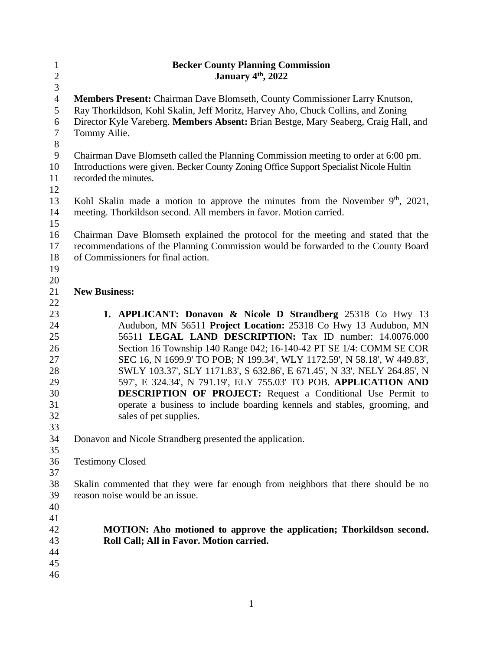| $\mathbf{1}$   | <b>Becker County Planning Commission</b>                                               |  |  |
|----------------|----------------------------------------------------------------------------------------|--|--|
| $\overline{2}$ | January 4th, 2022                                                                      |  |  |
| 3              |                                                                                        |  |  |
| $\overline{4}$ | Members Present: Chairman Dave Blomseth, County Commissioner Larry Knutson,            |  |  |
| 5              | Ray Thorkildson, Kohl Skalin, Jeff Moritz, Harvey Aho, Chuck Collins, and Zoning       |  |  |
| 6              | Director Kyle Vareberg. Members Absent: Brian Bestge, Mary Seaberg, Craig Hall, and    |  |  |
| $\tau$         | Tommy Ailie.                                                                           |  |  |
| $8\,$          |                                                                                        |  |  |
| $\mathbf{9}$   | Chairman Dave Blomseth called the Planning Commission meeting to order at 6:00 pm.     |  |  |
| 10             | Introductions were given. Becker County Zoning Office Support Specialist Nicole Hultin |  |  |
| 11             | recorded the minutes.                                                                  |  |  |
| 12             |                                                                                        |  |  |
| 13             | Kohl Skalin made a motion to approve the minutes from the November $9th$ , 2021,       |  |  |
| 14             | meeting. Thorkildson second. All members in favor. Motion carried.                     |  |  |
| 15             |                                                                                        |  |  |
| 16             | Chairman Dave Blomseth explained the protocol for the meeting and stated that the      |  |  |
| 17             | recommendations of the Planning Commission would be forwarded to the County Board      |  |  |
| 18             | of Commissioners for final action.                                                     |  |  |
| 19             |                                                                                        |  |  |
| 20             |                                                                                        |  |  |
| 21             | <b>New Business:</b>                                                                   |  |  |
| 22             |                                                                                        |  |  |
| 23             | 1. APPLICANT: Donavon & Nicole D Strandberg 25318 Co Hwy 13                            |  |  |
| 24             | Audubon, MN 56511 Project Location: 25318 Co Hwy 13 Audubon, MN                        |  |  |
| 25             | 56511 LEGAL LAND DESCRIPTION: Tax ID number: 14.0076.000                               |  |  |
| 26             | Section 16 Township 140 Range 042; 16-140-42 PT SE 1/4: COMM SE COR                    |  |  |
| 27             | SEC 16, N 1699.9' TO POB; N 199.34', WLY 1172.59', N 58.18', W 449.83',                |  |  |
| 28             | SWLY 103.37', SLY 1171.83', S 632.86', E 671.45', N 33', NELY 264.85', N               |  |  |
| 29             | 597', E 324.34', N 791.19', ELY 755.03' TO POB. APPLICATION AND                        |  |  |
| 30             | <b>DESCRIPTION OF PROJECT:</b> Request a Conditional Use Permit to                     |  |  |
| 31             | operate a business to include boarding kennels and stables, grooming, and              |  |  |
| 32             | sales of pet supplies.                                                                 |  |  |
| 33             |                                                                                        |  |  |
| 34             | Donavon and Nicole Strandberg presented the application.                               |  |  |
| 35             |                                                                                        |  |  |
| 36             | <b>Testimony Closed</b>                                                                |  |  |
| 37             |                                                                                        |  |  |
| 38             | Skalin commented that they were far enough from neighbors that there should be no      |  |  |
| 39             | reason noise would be an issue.                                                        |  |  |
| 40             |                                                                                        |  |  |
| 41             |                                                                                        |  |  |
| 42             | MOTION: Aho motioned to approve the application; Thorkildson second.                   |  |  |
| 43             | Roll Call; All in Favor. Motion carried.                                               |  |  |
| 44             |                                                                                        |  |  |
| 45             |                                                                                        |  |  |
| 46             |                                                                                        |  |  |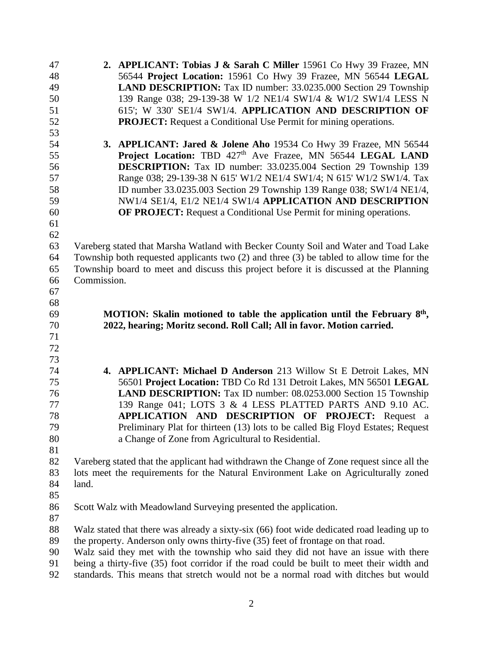| 47 | 2. APPLICANT: Tobias J & Sarah C Miller 15961 Co Hwy 39 Frazee, MN                           |  |  |
|----|----------------------------------------------------------------------------------------------|--|--|
| 48 | 56544 Project Location: 15961 Co Hwy 39 Frazee, MN 56544 LEGAL                               |  |  |
| 49 | <b>LAND DESCRIPTION:</b> Tax ID number: 33.0235.000 Section 29 Township                      |  |  |
| 50 | 139 Range 038; 29-139-38 W 1/2 NE1/4 SW1/4 & W1/2 SW1/4 LESS N                               |  |  |
| 51 | 615'; W 330' SE1/4 SW1/4. APPLICATION AND DESCRIPTION OF                                     |  |  |
| 52 | <b>PROJECT:</b> Request a Conditional Use Permit for mining operations.                      |  |  |
| 53 |                                                                                              |  |  |
| 54 | 3. APPLICANT: Jared & Jolene Aho 19534 Co Hwy 39 Frazee, MN 56544                            |  |  |
| 55 | Project Location: TBD 427 <sup>th</sup> Ave Frazee, MN 56544 LEGAL LAND                      |  |  |
| 56 | <b>DESCRIPTION:</b> Tax ID number: 33.0235.004 Section 29 Township 139                       |  |  |
| 57 | Range 038; 29-139-38 N 615' W1/2 NE1/4 SW1/4; N 615' W1/2 SW1/4. Tax                         |  |  |
| 58 | ID number 33.0235.003 Section 29 Township 139 Range 038; SW1/4 NE1/4,                        |  |  |
| 59 | NW1/4 SE1/4, E1/2 NE1/4 SW1/4 APPLICATION AND DESCRIPTION                                    |  |  |
| 60 | <b>OF PROJECT:</b> Request a Conditional Use Permit for mining operations.                   |  |  |
| 61 |                                                                                              |  |  |
| 62 |                                                                                              |  |  |
|    |                                                                                              |  |  |
| 63 | Vareberg stated that Marsha Watland with Becker County Soil and Water and Toad Lake          |  |  |
| 64 | Township both requested applicants two $(2)$ and three $(3)$ be tabled to allow time for the |  |  |
| 65 | Township board to meet and discuss this project before it is discussed at the Planning       |  |  |
| 66 | Commission.                                                                                  |  |  |
| 67 |                                                                                              |  |  |
| 68 |                                                                                              |  |  |
| 69 | MOTION: Skalin motioned to table the application until the February 8 <sup>th</sup> ,        |  |  |
| 70 | 2022, hearing; Moritz second. Roll Call; All in favor. Motion carried.                       |  |  |
| 71 |                                                                                              |  |  |
| 72 |                                                                                              |  |  |
| 73 |                                                                                              |  |  |
| 74 | 4. APPLICANT: Michael D Anderson 213 Willow St E Detroit Lakes, MN                           |  |  |
| 75 | 56501 Project Location: TBD Co Rd 131 Detroit Lakes, MN 56501 LEGAL                          |  |  |
| 76 | <b>LAND DESCRIPTION:</b> Tax ID number: 08.0253.000 Section 15 Township                      |  |  |
| 77 | 139 Range 041; LOTS 3 & 4 LESS PLATTED PARTS AND 9.10 AC.                                    |  |  |
| 78 | APPLICATION AND DESCRIPTION OF PROJECT: Request a                                            |  |  |
| 79 | Preliminary Plat for thirteen (13) lots to be called Big Floyd Estates; Request              |  |  |
| 80 | a Change of Zone from Agricultural to Residential.                                           |  |  |
| 81 |                                                                                              |  |  |
| 82 | Vareberg stated that the applicant had withdrawn the Change of Zone request since all the    |  |  |
| 83 | lots meet the requirements for the Natural Environment Lake on Agriculturally zoned          |  |  |
| 84 | land.                                                                                        |  |  |
| 85 |                                                                                              |  |  |
| 86 | Scott Walz with Meadowland Surveying presented the application.                              |  |  |
| 87 |                                                                                              |  |  |
| 88 | Walz stated that there was already a sixty-six (66) foot wide dedicated road leading up to   |  |  |
| 89 | the property. Anderson only owns thirty-five (35) feet of frontage on that road.             |  |  |
| 90 | Walz said they met with the township who said they did not have an issue with there          |  |  |
| 91 | being a thirty-five (35) foot corridor if the road could be built to meet their width and    |  |  |
| 92 | standards. This means that stretch would not be a normal road with ditches but would         |  |  |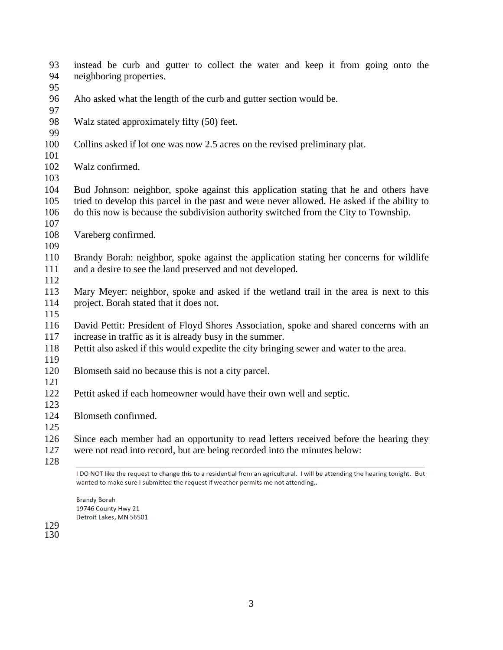| 93<br>94                 | instead be curb and gutter to collect the water and keep it from going onto the<br>neighboring properties.                                                                                                                                                                   |  |  |
|--------------------------|------------------------------------------------------------------------------------------------------------------------------------------------------------------------------------------------------------------------------------------------------------------------------|--|--|
| 95                       |                                                                                                                                                                                                                                                                              |  |  |
| 96<br>97                 | Aho asked what the length of the curb and gutter section would be.                                                                                                                                                                                                           |  |  |
| 98<br>99                 | Walz stated approximately fifty (50) feet.                                                                                                                                                                                                                                   |  |  |
| 100<br>101               | Collins asked if lot one was now 2.5 acres on the revised preliminary plat.                                                                                                                                                                                                  |  |  |
| 102<br>103               | Walz confirmed.                                                                                                                                                                                                                                                              |  |  |
| 104<br>105<br>106<br>107 | Bud Johnson: neighbor, spoke against this application stating that he and others have<br>tried to develop this parcel in the past and were never allowed. He asked if the ability to<br>do this now is because the subdivision authority switched from the City to Township. |  |  |
| 108<br>109               | Vareberg confirmed.                                                                                                                                                                                                                                                          |  |  |
| 110<br>111<br>112        | Brandy Borah: neighbor, spoke against the application stating her concerns for wildlife<br>and a desire to see the land preserved and not developed.                                                                                                                         |  |  |
| 113<br>114<br>115        | Mary Meyer: neighbor, spoke and asked if the wetland trail in the area is next to this<br>project. Borah stated that it does not.                                                                                                                                            |  |  |
| 116<br>117               | David Pettit: President of Floyd Shores Association, spoke and shared concerns with an<br>increase in traffic as it is already busy in the summer.                                                                                                                           |  |  |
| 118<br>119               | Pettit also asked if this would expedite the city bringing sewer and water to the area.                                                                                                                                                                                      |  |  |
| 120<br>121               | Blomseth said no because this is not a city parcel.                                                                                                                                                                                                                          |  |  |
| 122<br>123               | Pettit asked if each homeowner would have their own well and septic.                                                                                                                                                                                                         |  |  |
| 124<br>125               | Blomseth confirmed.                                                                                                                                                                                                                                                          |  |  |
| 126<br>127               | Since each member had an opportunity to read letters received before the hearing they<br>were not read into record, but are being recorded into the minutes below:                                                                                                           |  |  |
| 128                      | I DO NOT like the request to change this to a residential from an agricultural. I will be attending the hearing tonight. But<br>wanted to make sure I submitted the request if weather permits me not attending                                                              |  |  |

**Brandy Borah** 19746 County Hwy 21<br>Detroit Lakes, MN 56501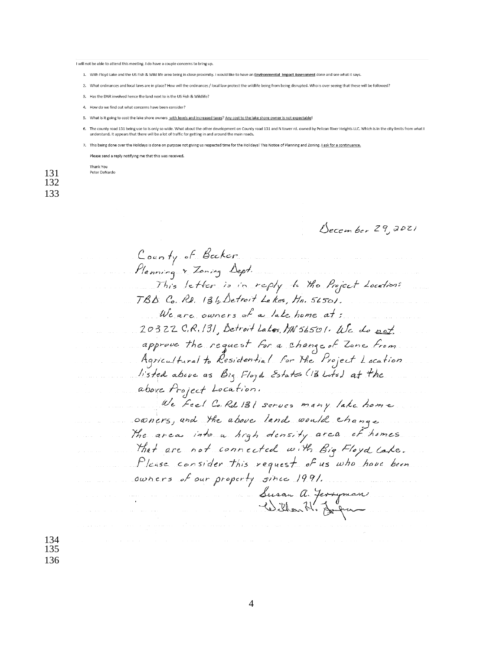#### I will not be able to attend this meeting. I do have a couple concerns to bring up

1. With Floyd Lake and the US Fish & Wild life area being in close proximity. I would like to have an Environmental Impact Assessment done and see what it says.

- 2. What ordinances and local laws are in place? How will the ordinances / local law protect the wildlife being from being disrupted. Who is over seeing that these will be followed?
- 3. Has the DNR involved hence the land next to is the US Fish & Wildlife?
- 4. How do we find out what concerns have been consider?
- 5. What is it going to cost the lake shore owners with levels and increased taxes? Any cost to the lake shore owner is not expectable
- The county road 131 being use to is only so wide. What about the other development on County road 131 and N tower rd. owned by Pelican River Heights LLC. Which is in the city limits from what understand. It appears that there will be a lot of traffic for getting in and around the main roads
- 7. This being done over the Holidays is done on purpose not giving us respected time for the Holidays! This Notice of Planning and Zoning. I ask for a continuance

Please send a reply notifying me that this was received

Thank You Peter DeNardo

131 132 133

December 29,2021

County of Becker Planning & Zoning Dept. This letter is in reply to the Project Location: TBD Co. Rd. 131, Detroit Lakes, Hn. 56501. We are owners of a lake home at: 20322 C.R. 131 Detroit Lakes, MN 56501. We do not approve the request for a change of Zone from Agricultural to Residential For the Project Location listed above as Big Floyd Estates (B Lots) at the above Project Location. We feel Co. Rd 131 serves many lake home owners, and the above land would change The areas into a high density area of homes that are not connected with Big Floyd Late. Please consider this request of us who have been owners of our property since 1991. Susan a. Jerryman

134 135 136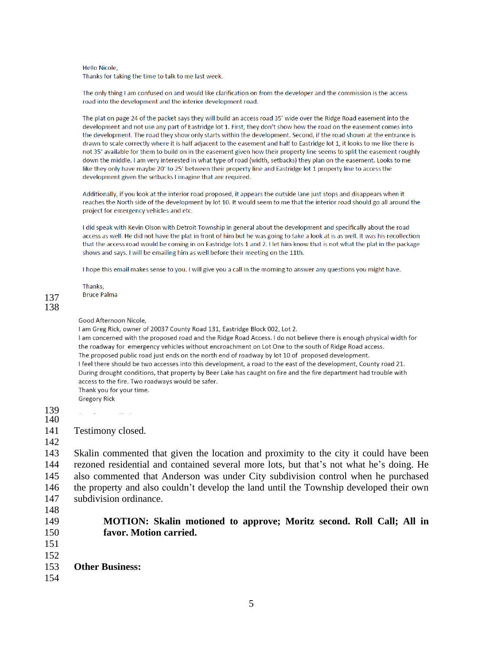### Hello Nicole,

Thanks for taking the time to talk to me last week.

The only thing I am confused on and would like clarification on from the developer and the commission is the access road into the development and the interior development road.

The plat on page 24 of the packet says they will build an access road 35' wide over the Ridge Road easement into the development and not use any part of Eastridge lot 1. First, they don't show how the road on the easement comes into the development. The road they show only starts within the development. Second, if the road shown at the entrance is drawn to scale correctly where it is half adjacent to the easement and half to Eastridge lot 1, it looks to me like there is not 35' available for them to build on in the easement given how their property line seems to split the easement roughly down the middle. I am very interested in what type of road (width, setbacks) they plan on the easement. Looks to me like they only have maybe 20' to 25' between their property line and Eastridge lot 1 property line to access the development given the setbacks I imagine that are required.

Additionally, if you look at the interior road proposed, it appears the outside lane just stops and disappears when it reaches the North side of the development by lot 10. It would seem to me that the interior road should go all around the project for emergency vehicles and etc.

I did speak with Kevin Olson with Detroit Township in general about the development and specifically about the road access as well. He did not have the plat in front of him but he was going to take a look at is as well. It was his recollection that the access road would be coming in on Eastridge lots 1 and 2. I let him know that is not what the plat in the package shows and says. I will be emailing him as well before their meeting on the 11th.

I hope this email makes sense to you. I will give you a call in the morning to answer any questions you might have.

Thanks, **Bruce Palma** 

### 137 138

#### Good Afternoon Nicole,

I am Greg Rick, owner of 20037 County Road 131, Eastridge Block 002, Lot 2. I am concerned with the proposed road and the Ridge Road Access. I do not believe there is enough physical width for the roadway for emergency vehicles without encroachment on Lot One to the south of Ridge Road access. The proposed public road just ends on the north end of roadway by lot 10 of proposed development. I feel there should be two accesses into this development, a road to the east of the development, County road 21. During drought conditions, that property by Beer Lake has caught on fire and the fire department had trouble with access to the fire. Two roadways would be safer. Thank you for your time. **Gregory Rick** 

139 **College College** 140

### 141 Testimony closed.

142

 Skalin commented that given the location and proximity to the city it could have been rezoned residential and contained several more lots, but that's not what he's doing. He also commented that Anderson was under City subdivision control when he purchased the property and also couldn't develop the land until the Township developed their own subdivision ordinance.

148

# 149 **MOTION: Skalin motioned to approve; Moritz second. Roll Call; All in**  150 **favor. Motion carried.**

- 151
- 152

## 153 **Other Business:**

154